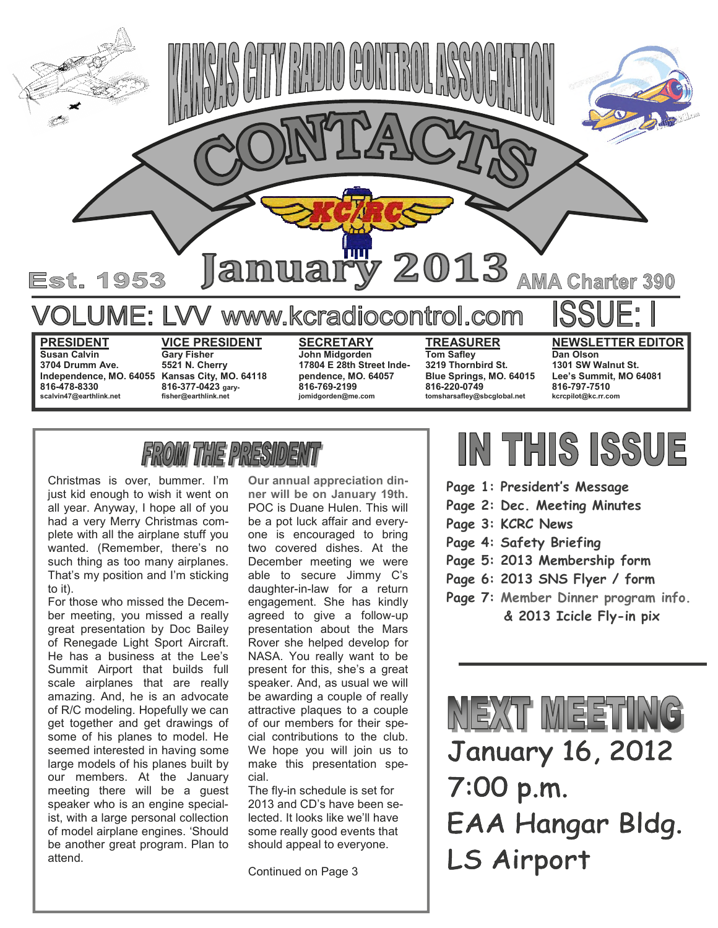

**3704 Drumm Ave. 816-478-8330 scalvin47@earthlink.net** 

**5521 N. Cherry**  Independence, MO. 64055 Kansas City, MO. 64118 **816-377-0423 garyfisher@earthlink.net** 

**pendence, MO. 64057 816-769-2199 jomidgorden@me.com** 

**3219 Thornbird St. Blue Springs, MO. 64015 816-220-0749 tomsharsafley@sbcglobal.net** 

**1301 SW Walnut St. Lee's Summit, MO 64081 816-797-7510 kcrcpilot@kc.rr.com** 

### *THE PRESIDE*

Christmas is over, bummer. I'm just kid enough to wish it went on all year. Anyway, I hope all of you had a very Merry Christmas complete with all the airplane stuff you wanted. (Remember, there's no such thing as too many airplanes. That's my position and I'm sticking to it).

For those who missed the December meeting, you missed a really great presentation by Doc Bailey of Renegade Light Sport Aircraft. He has a business at the Lee's Summit Airport that builds full scale airplanes that are really amazing. And, he is an advocate of R/C modeling. Hopefully we can get together and get drawings of some of his planes to model. He seemed interested in having some large models of his planes built by our members. At the January meeting there will be a guest speaker who is an engine specialist, with a large personal collection of model airplane engines. 'Should be another great program. Plan to attend.

**Our annual appreciation dinner will be on January 19th.**  POC is Duane Hulen. This will be a pot luck affair and everyone is encouraged to bring two covered dishes. At the December meeting we were able to secure Jimmy C's daughter-in-law for a return engagement. She has kindly agreed to give a follow-up presentation about the Mars Rover she helped develop for NASA. You really want to be present for this, she's a great speaker. And, as usual we will be awarding a couple of really attractive plaques to a couple of our members for their special contributions to the club. We hope you will join us to make this presentation special.

The fly-in schedule is set for 2013 and CD's have been selected. It looks like we'll have some really good events that should appeal to everyone.

Continued on Page 3

### IN THIS ISSUE

- **Page 1: President's Message**
- **Page 2: Dec. Meeting Minutes**
- **Page 3: KCRC News**
- **Page 4: Safety Briefing**
- **Page 5: 2013 Membership form**
- **Page 6: 2013 SNS Flyer / form**
- **Page 7: Member Dinner program info. & 2013 Icicle Fly-in pix**



**January 16, 2012** 7:00 p.m. EAA Hangar Bldg. LS Airport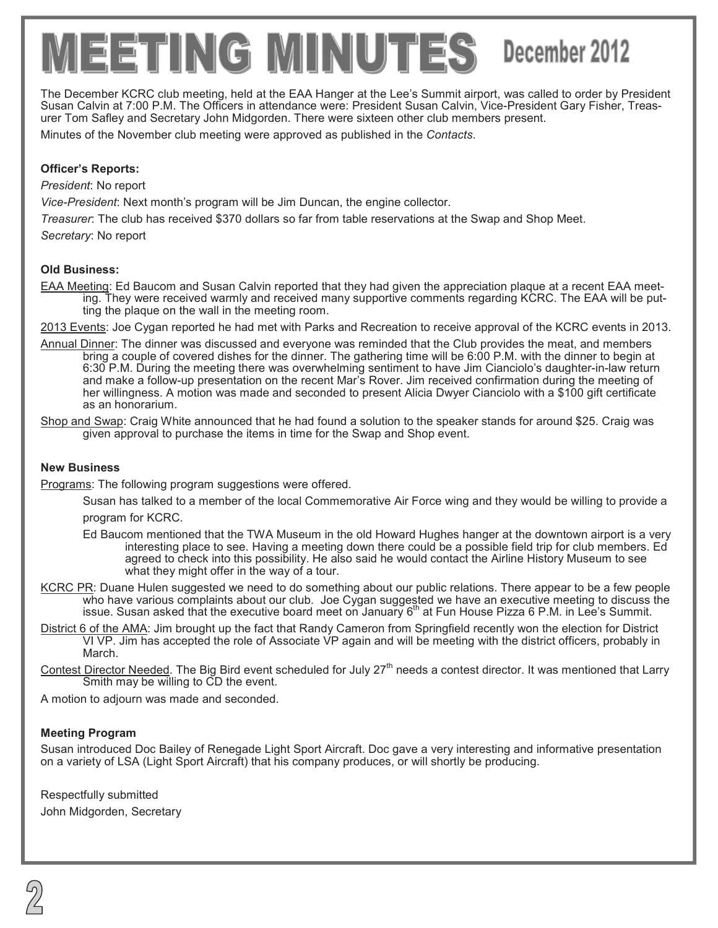# $EETIINCG$  MINUTES December 2012

The December KCRC club meeting, held at the EAA Hanger at the Lee's Summit airport, was called to order by President Susan Calvin at 7:00 P.M. The Officers in attendance were: President Susan Calvin, Vice-President Gary Fisher, Treasurer Tom Safley and Secretary John Midgorden. There were sixteen other club members present.

Minutes of the November club meeting were approved as published in the *Contacts*.

#### **Officer's Reports:**

*President*: No report

*Vice-President*: Next month's program will be Jim Duncan, the engine collector.

*Treasurer*: The club has received \$370 dollars so far from table reservations at the Swap and Shop Meet.

*Secretary*: No report

### **Old Business:**

EAA Meeting: Ed Baucom and Susan Calvin reported that they had given the appreciation plaque at a recent EAA meeting. They were received warmly and received many supportive comments regarding KCRC. The EAA will be putting the plaque on the wall in the meeting room.

2013 Events: Joe Cygan reported he had met with Parks and Recreation to receive approval of the KCRC events in 2013.

- Annual Dinner: The dinner was discussed and everyone was reminded that the Club provides the meat, and members bring a couple of covered dishes for the dinner. The gathering time will be 6:00 P.M. with the dinner to begin at 6:30 P.M. During the meeting there was overwhelming sentiment to have Jim Cianciolo's daughter-in-law return and make a follow-up presentation on the recent Mar's Rover. Jim received confirmation during the meeting of her willingness. A motion was made and seconded to present Alicia Dwyer Cianciolo with a \$100 gift certificate as an honorarium.
- Shop and Swap: Craig White announced that he had found a solution to the speaker stands for around \$25. Craig was given approval to purchase the items in time for the Swap and Shop event.

#### **New Business**

Programs: The following program suggestions were offered.

- Susan has talked to a member of the local Commemorative Air Force wing and they would be willing to provide a program for KCRC.
- Ed Baucom mentioned that the TWA Museum in the old Howard Hughes hanger at the downtown airport is a very interesting place to see. Having a meeting down there could be a possible field trip for club members. Ed agreed to check into this possibility. He also said he would contact the Airline History Museum to see what they might offer in the way of a tour.
- KCRC PR: Duane Hulen suggested we need to do something about our public relations. There appear to be a few people who have various complaints about our club. Joe Cygan suggested we have an executive meeting to discuss the issue. Susan asked that the executive board meet on January  $6<sup>th</sup>$  at Fun House Pizza 6 P.M. in Lee's Summit.
- District 6 of the AMA: Jim brought up the fact that Randy Cameron from Springfield recently won the election for District VI VP. Jim has accepted the role of Associate VP again and will be meeting with the district officers, probably in March.
- Contest Director Needed. The Big Bird event scheduled for July 27<sup>th</sup> needs a contest director. It was mentioned that Larry Smith may be willing to CD the event.

A motion to adjourn was made and seconded.

#### **Meeting Program**

Susan introduced Doc Bailey of Renegade Light Sport Aircraft. Doc gave a very interesting and informative presentation on a variety of LSA (Light Sport Aircraft) that his company produces, or will shortly be producing.

Respectfully submitted John Midgorden, Secretary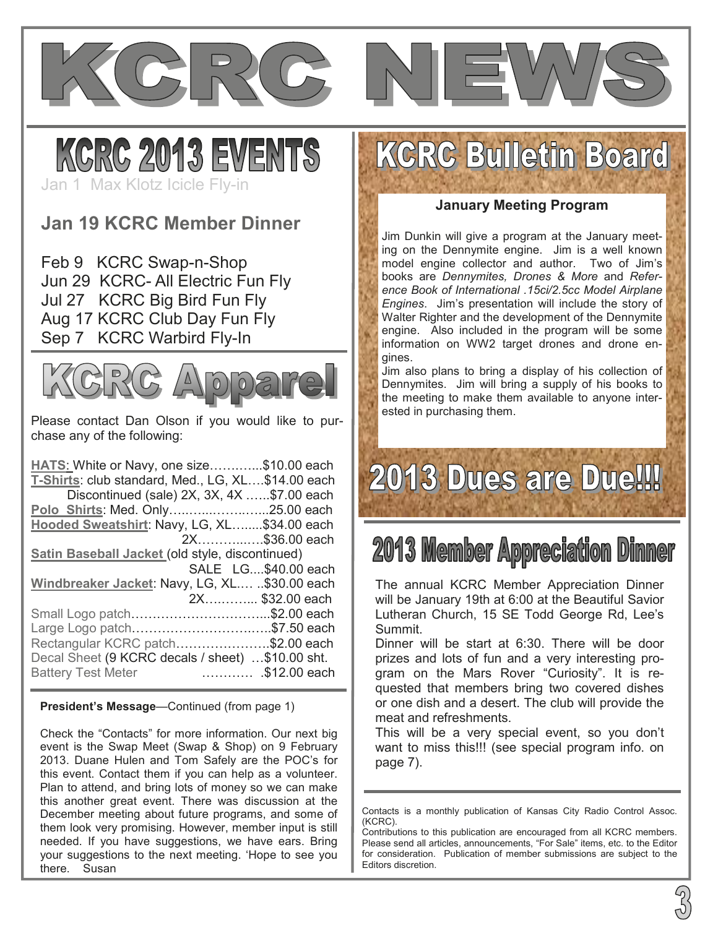



Jan 1 Max Klotz Icicle Fly-in

### **Jan 19 KCRC Member Dinner**

Feb 9 KCRC Swap-n-Shop Jun 29 KCRC- All Electric Fun Fly Jul 27 KCRC Big Bird Fun Fly Aug 17 KCRC Club Day Fun Fly Sep 7 KCRC Warbird Fly-In



Please contact Dan Olson if you would like to purchase any of the following:

HATS: White or Navy, one size............\$10.00 each **T-Shirts: club standard, Med., LG, XL...\$14.00 each** Discontinued (sale)  $2X$ ,  $3X$ ,  $4X$  ......\$7.00 each **Polo Shirts: Med. Only...........................25.00 each** Hooded Sweatshirt: Navy, LG, XL........\$34.00 each 2X...............\$36.00 each **Satin Baseball Jacket** (old style, discontinued) SALE LG....\$40.00 each Windbreaker Jacket: Navy, LG, XL.... ..\$30.00 each 2X............. \$32.00 each Small Logo patch.................................\$2.00 each Large Logo patch................................\$7.50 each Rectangular KCRC patch.....................\$2.00 each Decal Sheet (9 KCRC decals / sheet) ...\$10.00 sht. Battery Test Meter ...................\$12.00 each

**President's Message**—Continued (from page 1)

Check the "Contacts" for more information. Our next big event is the Swap Meet (Swap & Shop) on 9 February 2013. Duane Hulen and Tom Safely are the POC's for this event. Contact them if you can help as a volunteer. Plan to attend, and bring lots of money so we can make this another great event. There was discussion at the December meeting about future programs, and some of them look very promising. However, member input is still needed. If you have suggestions, we have ears. Bring your suggestions to the next meeting. 'Hope to see you there. Susan

### **KCRC Bulletin Board**

#### **January Meeting Program**

Jim Dunkin will give a program at the January meeting on the Dennymite engine. Jim is a well known model engine collector and author. Two of Jim's books are *Dennymites, Drones & More* and *Reference Book of International .15ci/2.5cc Model Airplane Engines*. Jim's presentation will include the story of Walter Righter and the development of the Dennymite engine. Also included in the program will be some information on WW2 target drones and drone engines.

Jim also plans to bring a display of his collection of Dennymites. Jim will bring a supply of his books to the meeting to make them available to anyone interested in purchasing them.

## **2013 Dues are Due!!!**

### **2013 Member Appreciation Dinner**

The annual KCRC Member Appreciation Dinner will be January 19th at 6:00 at the Beautiful Savior Lutheran Church, 15 SE Todd George Rd, Lee's Summit.

Dinner will be start at 6:30. There will be door prizes and lots of fun and a very interesting program on the Mars Rover "Curiosity". It is requested that members bring two covered dishes or one dish and a desert. The club will provide the meat and refreshments.

This will be a very special event, so you don't want to miss this!!! (see special program info. on page 7).

Contacts is a monthly publication of Kansas City Radio Control Assoc. (KCRC).

Contributions to this publication are encouraged from all KCRC members. Please send all articles, announcements, "For Sale" items, etc. to the Editor for consideration. Publication of member submissions are subject to the Editors discretion.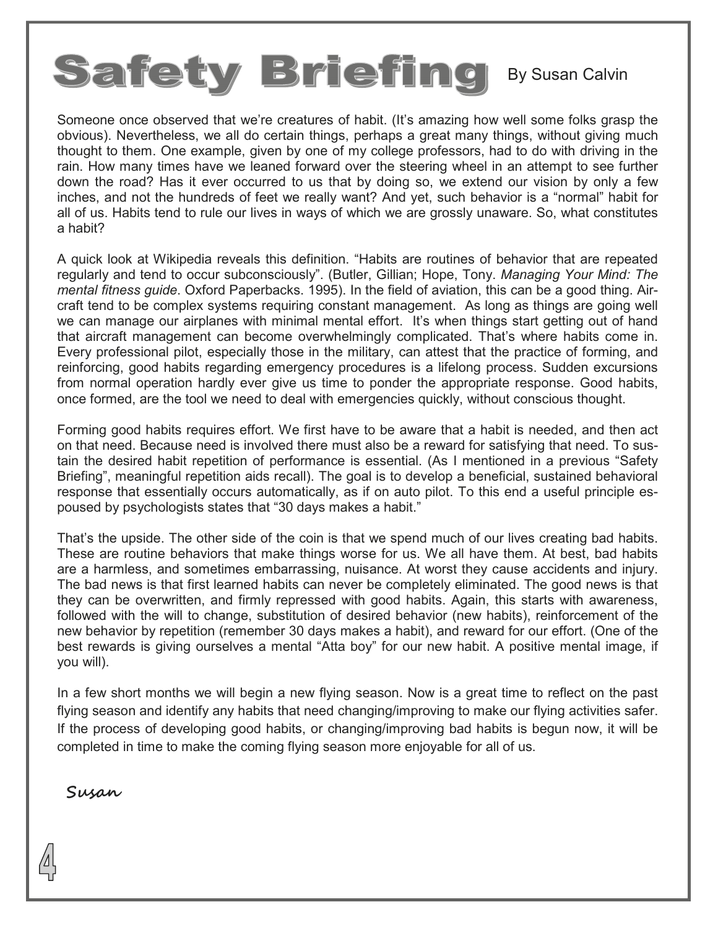## Safety Briefing By Susan Calvin

Someone once observed that we're creatures of habit. (It's amazing how well some folks grasp the obvious). Nevertheless, we all do certain things, perhaps a great many things, without giving much thought to them. One example, given by one of my college professors, had to do with driving in the rain. How many times have we leaned forward over the steering wheel in an attempt to see further down the road? Has it ever occurred to us that by doing so, we extend our vision by only a few inches, and not the hundreds of feet we really want? And yet, such behavior is a "normal" habit for all of us. Habits tend to rule our lives in ways of which we are grossly unaware. So, what constitutes a habit?

A quick look at Wikipedia reveals this definition. "Habits are routines of behavior that are repeated regularly and tend to occur subconsciously". (Butler, Gillian; Hope, Tony. *Managing Your Mind: The mental fitness guide*. Oxford Paperbacks. 1995). In the field of aviation, this can be a good thing. Aircraft tend to be complex systems requiring constant management. As long as things are going well we can manage our airplanes with minimal mental effort. It's when things start getting out of hand that aircraft management can become overwhelmingly complicated. That's where habits come in. Every professional pilot, especially those in the military, can attest that the practice of forming, and reinforcing, good habits regarding emergency procedures is a lifelong process. Sudden excursions from normal operation hardly ever give us time to ponder the appropriate response. Good habits, once formed, are the tool we need to deal with emergencies quickly, without conscious thought.

Forming good habits requires effort. We first have to be aware that a habit is needed, and then act on that need. Because need is involved there must also be a reward for satisfying that need. To sustain the desired habit repetition of performance is essential. (As I mentioned in a previous "Safety Briefing", meaningful repetition aids recall). The goal is to develop a beneficial, sustained behavioral response that essentially occurs automatically, as if on auto pilot. To this end a useful principle espoused by psychologists states that "30 days makes a habit."

That's the upside. The other side of the coin is that we spend much of our lives creating bad habits. These are routine behaviors that make things worse for us. We all have them. At best, bad habits are a harmless, and sometimes embarrassing, nuisance. At worst they cause accidents and injury. The bad news is that first learned habits can never be completely eliminated. The good news is that they can be overwritten, and firmly repressed with good habits. Again, this starts with awareness, followed with the will to change, substitution of desired behavior (new habits), reinforcement of the new behavior by repetition (remember 30 days makes a habit), and reward for our effort. (One of the best rewards is giving ourselves a mental "Atta boy" for our new habit. A positive mental image, if you will).

In a few short months we will begin a new flying season. Now is a great time to reflect on the past flying season and identify any habits that need changing/improving to make our flying activities safer. If the process of developing good habits, or changing/improving bad habits is begun now, it will be completed in time to make the coming flying season more enjoyable for all of us.

**Susan**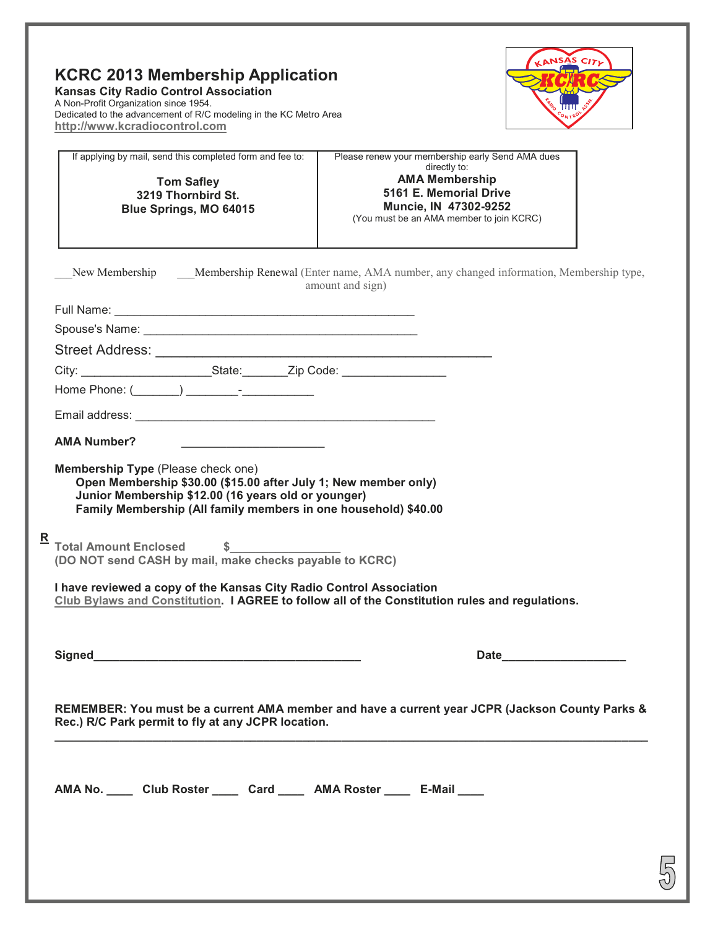| <b>KCRC 2013 Membership Application</b>                           |  |  |  |
|-------------------------------------------------------------------|--|--|--|
| <b>Kansas City Radio Control Association</b>                      |  |  |  |
| A Non-Profit Organization since 1954.                             |  |  |  |
| Dedicated to the advancement of R/C modeling in the KC Metro Area |  |  |  |
| http://www.kcradiocontrol.com                                     |  |  |  |



5

|                                                                                  | If applying by mail, send this completed form and fee to:<br><b>Tom Safley</b><br>3219 Thornbird St.<br>Blue Springs, MO 64015                        | Please renew your membership early Send AMA dues<br>directly to:<br><b>AMA Membership</b><br>5161 E. Memorial Drive<br>Muncie, IN 47302-9252<br>(You must be an AMA member to join KCRC)                                                                                                                                                                                                                                                                                                        |  |  |
|----------------------------------------------------------------------------------|-------------------------------------------------------------------------------------------------------------------------------------------------------|-------------------------------------------------------------------------------------------------------------------------------------------------------------------------------------------------------------------------------------------------------------------------------------------------------------------------------------------------------------------------------------------------------------------------------------------------------------------------------------------------|--|--|
|                                                                                  | New Membership Membership Renewal (Enter name, AMA number, any changed information, Membership type,<br>amount and sign)                              |                                                                                                                                                                                                                                                                                                                                                                                                                                                                                                 |  |  |
|                                                                                  |                                                                                                                                                       |                                                                                                                                                                                                                                                                                                                                                                                                                                                                                                 |  |  |
|                                                                                  |                                                                                                                                                       |                                                                                                                                                                                                                                                                                                                                                                                                                                                                                                 |  |  |
|                                                                                  |                                                                                                                                                       |                                                                                                                                                                                                                                                                                                                                                                                                                                                                                                 |  |  |
| City: ____________________________State: _________Zip Code: ____________________ |                                                                                                                                                       |                                                                                                                                                                                                                                                                                                                                                                                                                                                                                                 |  |  |
|                                                                                  |                                                                                                                                                       |                                                                                                                                                                                                                                                                                                                                                                                                                                                                                                 |  |  |
|                                                                                  |                                                                                                                                                       |                                                                                                                                                                                                                                                                                                                                                                                                                                                                                                 |  |  |
|                                                                                  | <b>AMA Number?</b>                                                                                                                                    |                                                                                                                                                                                                                                                                                                                                                                                                                                                                                                 |  |  |
|                                                                                  |                                                                                                                                                       | Membership Type (Please check one)<br>Open Membership \$30.00 (\$15.00 after July 1; New member only)<br>Junior Membership \$12.00 (16 years old or younger)<br>Family Membership (All family members in one household) \$40.00<br>Total Amount Enclosed \$<br>(DO NOT send CASH by mail, make checks payable to KCRC)<br>I have reviewed a copy of the Kansas City Radio Control Association<br>Club Bylaws and Constitution. I AGREE to follow all of the Constitution rules and regulations. |  |  |
|                                                                                  |                                                                                                                                                       | Date the contract of the contract of the contract of the contract of the contract of the contract of the contract of the contract of the contract of the contract of the contract of the contract of the contract of the contr                                                                                                                                                                                                                                                                  |  |  |
|                                                                                  | REMEMBER: You must be a current AMA member and have a current year JCPR (Jackson County Parks &<br>Rec.) R/C Park permit to fly at any JCPR location. |                                                                                                                                                                                                                                                                                                                                                                                                                                                                                                 |  |  |
|                                                                                  | AMA No. ______ Club Roster ______ Card ______ AMA Roster ______ E-Mail _____                                                                          |                                                                                                                                                                                                                                                                                                                                                                                                                                                                                                 |  |  |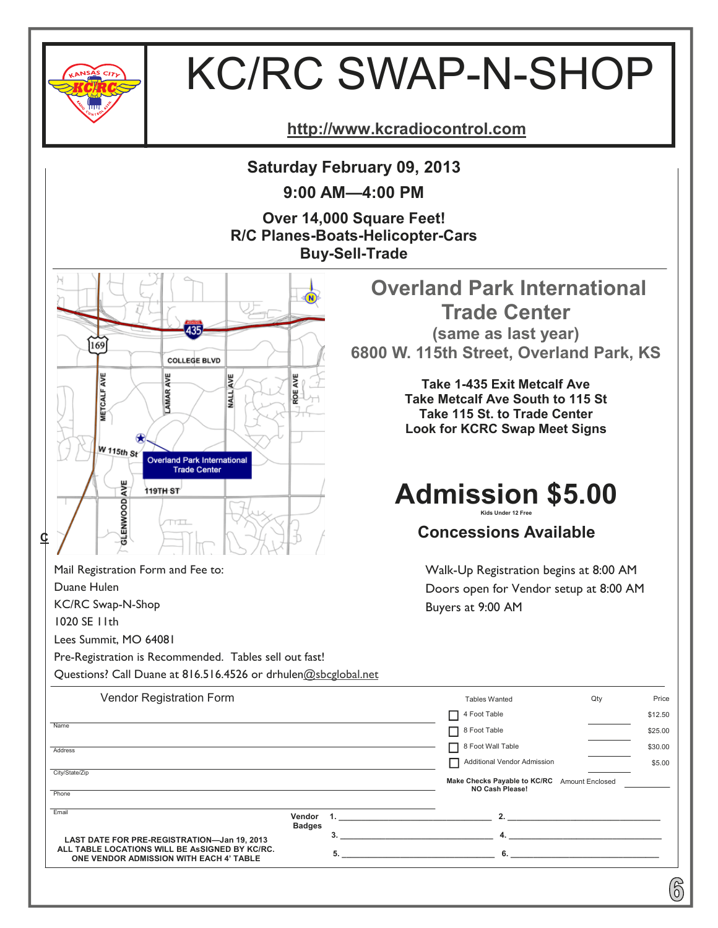

## KC/RC SWAP-N-SHOP

**http://www.kcradiocontrol.com**

**Saturday February 09, 2013** 

**9:00 AM—4:00 PM** 

**Over 14,000 Square Feet! R/C Planes-Boats-Helicopter-Cars Buy-Sell-Trade** 



Pre-Registration is Recommended. Tables sell out fast!

Mail Registration Form and Fee to:

Duane Hulen

1020 SE 11th

KC/RC Swap-N-Shop

Lees Summit, MO 64081

 **Overland Park International Trade Center (same as last year) 6800 W. 115th Street, Overland Park, KS** 

> **Take 1-435 Exit Metcalf Ave Take Metcalf Ave South to 115 St Take 115 St. to Trade Center Look for KCRC Swap Meet Signs**

### **Admission \$5.00 Kids Under 12 Free**

**Concessions Available** 

Walk-Up Registration begins at 8:00 AM Doors open for Vendor setup at 8:00 AM Buyers at 9:00 AM

6

 **ALL TABLE LOCATIONS WILL BE AsSIGNED BY KC/RC. ONE VENDOR ADMISSION WITH EACH 4' TABLE**  Questions? Call Duane at 816.516.4526 or drhulen@sbcglobal.net Vendor Registration Form Name **Address Phone** Tables Wanted 4 Foot Table 8 Foot Table 8 Foot Wall Table **Make Checks Payable to KC/RC** Amount Enclosed Qty \$12.50 Price \$25.00 \$30.00 Email City/State/Zip **LAST DATE FOR PRE-REGISTRATION—Jan 19, 2013 Vendor 1. \_\_\_\_\_\_\_\_\_\_\_\_\_\_\_\_\_\_\_\_\_\_\_\_\_\_\_\_\_\_\_\_\_\_ 2. \_\_\_\_\_\_\_\_\_\_\_\_\_\_\_\_\_\_\_\_\_\_\_\_\_\_\_\_\_\_\_\_\_\_ Badges 3. \_\_\_\_\_\_\_\_\_\_\_\_\_\_\_\_\_\_\_\_\_\_\_\_\_\_\_\_\_\_\_\_\_\_ 4. \_\_\_\_\_\_\_\_\_\_\_\_\_\_\_\_\_\_\_\_\_\_\_\_\_\_\_\_\_\_\_\_\_\_ 5. \_\_\_\_\_\_\_\_\_\_\_\_\_\_\_\_\_\_\_\_\_\_\_\_\_\_\_\_\_\_\_\_\_\_ 6. \_\_\_\_\_\_\_\_\_\_\_\_\_\_\_\_\_\_\_\_\_\_\_\_\_\_\_\_\_\_\_\_\_ NO Cash Please!**  Additional Vendor Admission \$5.00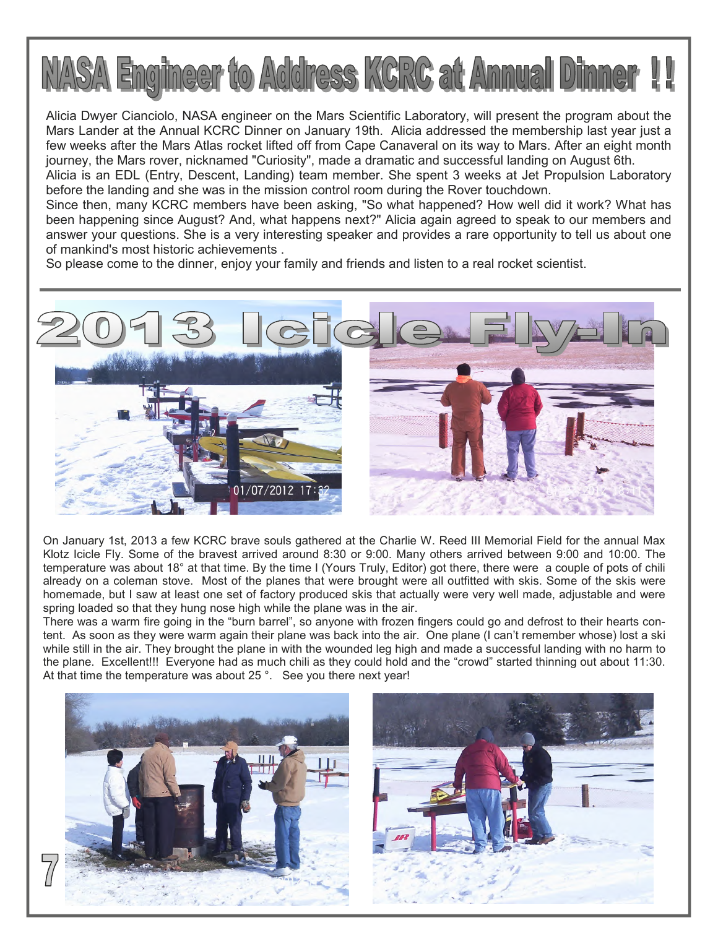

Alicia Dwyer Cianciolo, NASA engineer on the Mars Scientific Laboratory, will present the program about the Mars Lander at the Annual KCRC Dinner on January 19th. Alicia addressed the membership last year just a few weeks after the Mars Atlas rocket lifted off from Cape Canaveral on its way to Mars. After an eight month journey, the Mars rover, nicknamed "Curiosity", made a dramatic and successful landing on August 6th.

Alicia is an EDL (Entry, Descent, Landing) team member. She spent 3 weeks at Jet Propulsion Laboratory before the landing and she was in the mission control room during the Rover touchdown.

Since then, many KCRC members have been asking, "So what happened? How well did it work? What has been happening since August? And, what happens next?" Alicia again agreed to speak to our members and answer your questions. She is a very interesting speaker and provides a rare opportunity to tell us about one of mankind's most historic achievements .

So please come to the dinner, enjoy your family and friends and listen to a real rocket scientist.



On January 1st, 2013 a few KCRC brave souls gathered at the Charlie W. Reed III Memorial Field for the annual Max Klotz Icicle Fly. Some of the bravest arrived around 8:30 or 9:00. Many others arrived between 9:00 and 10:00. The temperature was about 18° at that time. By the time I (Yours Truly, Editor) got there, there were a couple of pots of chili already on a coleman stove. Most of the planes that were brought were all outfitted with skis. Some of the skis were homemade, but I saw at least one set of factory produced skis that actually were very well made, adjustable and were spring loaded so that they hung nose high while the plane was in the air.

There was a warm fire going in the "burn barrel", so anyone with frozen fingers could go and defrost to their hearts content. As soon as they were warm again their plane was back into the air. One plane (I can't remember whose) lost a ski while still in the air. They brought the plane in with the wounded leg high and made a successful landing with no harm to the plane. Excellent!!! Everyone had as much chili as they could hold and the "crowd" started thinning out about 11:30. At that time the temperature was about 25°. See you there next year!